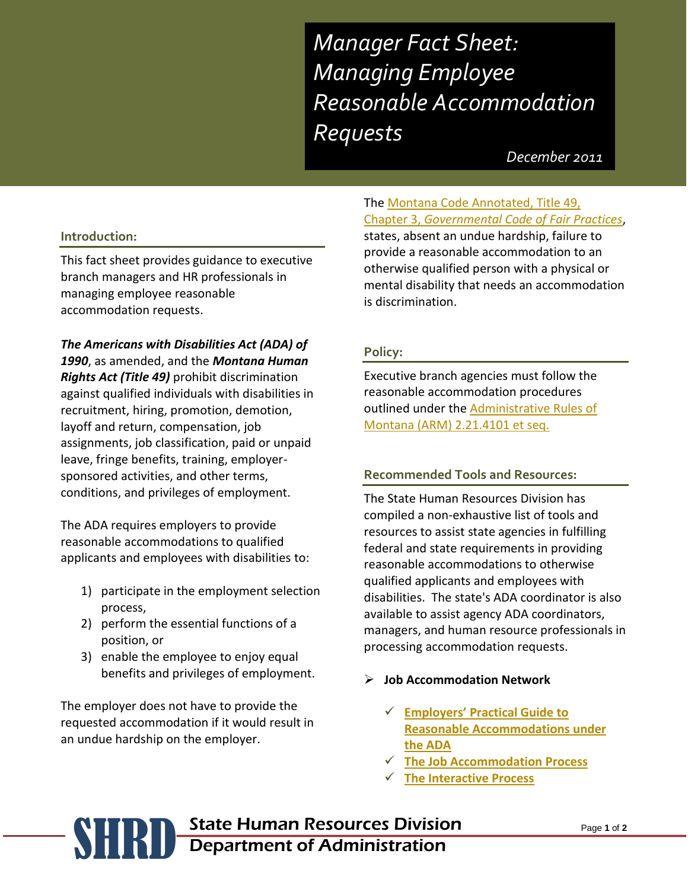*Manager Fact Sheet: Managing Employee Reasonable Accommodation Requests*

 *December 2011*

#### **Introduction:**

This fact sheet provides guidance to executive branch managers and HR professionals in managing employee reasonable accommodation requests.

*The Americans with Disabilities Act (ADA) of 1990*, as amended, and the *Montana Human Rights Act (Title 49)* prohibit discrimination against qualified individuals with disabilities in recruitment, hiring, promotion, demotion, layoff and return, compensation, job

assignments, job classification, paid or unpaid leave, fringe benefits, training, employersponsored activities, and other terms, conditions, and privileges of employment.

The ADA requires employers to provide reasonable accommodations to qualified applicants and employees with disabilities to:

- 1) participate in the employment selection process,
- 2) perform the essential functions of a position, or
- 3) enable the employee to enjoy equal benefits and privileges of employment.

The employer does not have to provide the requested accommodation if it would result in an undue hardship on the employer.

The Montana Code Annotated, Title 49, Chapter 3, *[Governmental Code of Fair Practices](http://data.opi.mt.gov/bills/mca_toc/49_3.htm)*, states, absent an undue hardship, failure to provide a reasonable accommodation to an otherwise qualified person with a physical or mental disability that needs an accommodation is discrimination.

## **Policy:**

Executive branch agencies must follow the reasonable accommodation procedures outlined under the [Administrative Rules of](http://hr.mt.gov/Portals/78/hrpp/docs/Policies/MOM/Reasonable_Accommodation_8-2011)  [Montana \(ARM\) 2.21.4101 et seq.](http://hr.mt.gov/Portals/78/hrpp/docs/Policies/MOM/Reasonable_Accommodation_8-2011)

# **Recommended Tools and Resources:**

The State Human Resources Division has compiled a non-exhaustive list of tools and resources to assist state agencies in fulfilling federal and state requirements in providing reasonable accommodations to otherwise qualified applicants and employees with disabilities. The state's ADA coordinator is also available to assist agency ADA coordinators, managers, and human resource professionals in processing accommodation requests.

- **Job Accommodation Network**
	- **Em[ployers' Practical Guide to](http://askjan.org/Erguide/index.htm)  [Reasonable Accommodations under](http://askjan.org/Erguide/index.htm)  [the ADA](http://askjan.org/Erguide/index.htm)**
	- **[The Job Accommodation Process](http://askjan.org/media/JobAccommodationProcess.html)**
	- **[The Interactive Process](http://askjan.org/media/interactiveprocessfact.doc)**

| <b>SHRIP State Human Resources Division</b><br><b>SHRIP Department of Administration</b> |
|------------------------------------------------------------------------------------------|